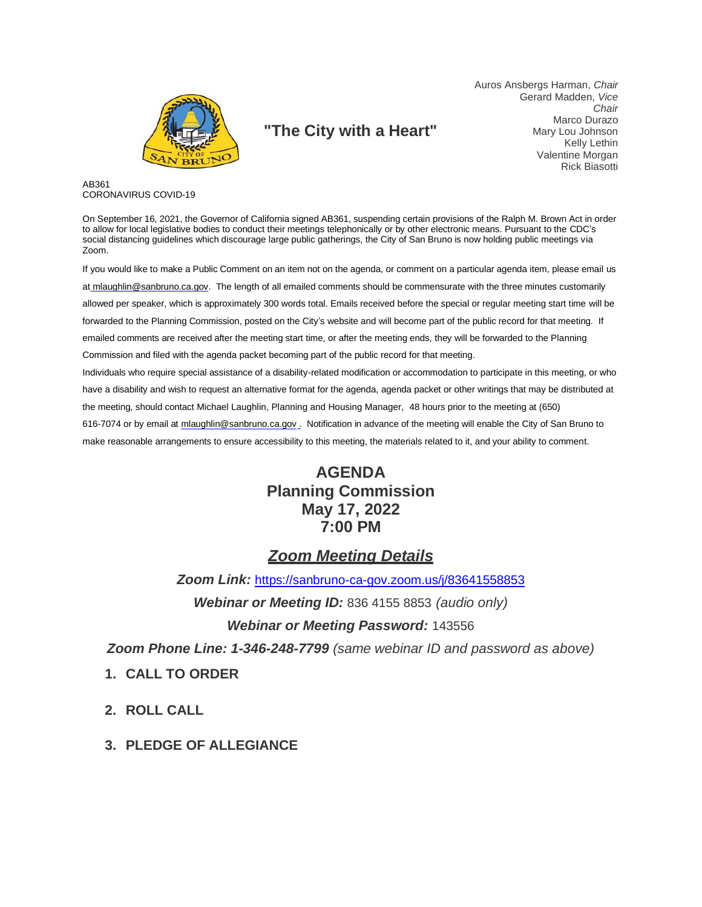

# **"The City with a Heart"**

Auros Ansbergs Harman, *Chair* Gerard Madden, *Vice Chair* Marco Durazo Mary Lou Johnson Kelly Lethin Valentine Morgan Rick Biasotti

AB361 CORONAVIRUS COVID-19

On September 16, 2021, the Governor of California signed AB361, suspending certain provisions of the Ralph M. Brown Act in order to allow for local legislative bodies to conduct their meetings telephonically or by other electronic means. Pursuant to the CDC's social distancing guidelines which discourage large public gatherings, the City of San Bruno is now holding public meetings via Zoom.

If you would like to make a Public Comment on an item not on the agenda, or comment on a particular agenda item, please email us at [mlaughlin@sanbruno.ca.gov.](mailto:mlaughlin@sanbruno.ca.gov) The length of all emailed comments should be commensurate with the three minutes customarily allowed per speaker, which is approximately 300 words total. Emails received before the special or regular meeting start time will be forwarded to the Planning Commission, posted on the City's website and will become part of the public record for that meeting. If emailed comments are received after the meeting start time, or after the meeting ends, they will be forwarded to the Planning Commission and filed with the agenda packet becoming part of the public record for that meeting. Individuals who require special assistance of a disability-related modification or accommodation to participate in this meeting, or who

have a disability and wish to request an alternative format for the agenda, agenda packet or other writings that may be distributed at the meeting, should contact Michael Laughlin, Planning and Housing Manager, 48 hours prior to the meeting at (650) 616-7074 or by email at [mlaughlin@sanbruno.ca.gov](mailto:mlaughlin@sanbruno.ca.gov) . Notification in advance of the meeting will enable the City of San Bruno to make reasonable arrangements to ensure accessibility to this meeting, the materials related to it, and your ability to comment.

# **AGENDA Planning Commission May 17, 2022 7:00 PM**

# *Zoom Meeting Details*

*Zoom Link:* <https://sanbruno-ca-gov.zoom.us/j/83641558853>

*Webinar or Meeting ID:* 836 4155 8853 *(audio only)*

#### *Webinar or Meeting Password:* 143556

*Zoom Phone Line: 1-346-248-7799 (same webinar ID and password as above)*

- **1. CALL TO ORDER**
- **2. ROLL CALL**
- **3. PLEDGE OF ALLEGIANCE**